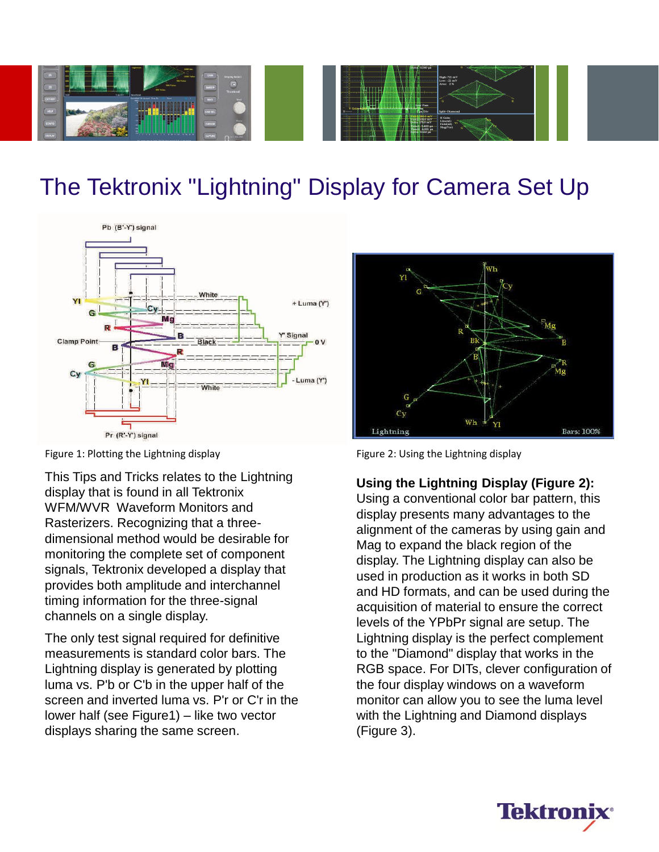

## The Tektronix "Lightning" Display for Camera Set Up



Figure 1: Plotting the Lightning display Figure 2: Using the Lightning display

This Tips and Tricks relates to the Lightning display that is found in all Tektronix WFM/WVR Waveform Monitors and Rasterizers. Recognizing that a threedimensional method would be desirable for monitoring the complete set of component signals, Tektronix developed a display that provides both amplitude and interchannel timing information for the three-signal channels on a single display.

The only test signal required for definitive measurements is standard color bars. The Lightning display is generated by plotting luma vs. P'b or C'b in the upper half of the screen and inverted luma vs. P'r or C'r in the lower half (see Figure1) – like two vector displays sharing the same screen.



### **Using the Lightning Display (Figure 2):**

Using a conventional color bar pattern, this display presents many advantages to the alignment of the cameras by using gain and Mag to expand the black region of the display. The Lightning display can also be used in production as it works in both SD and HD formats, and can be used during the acquisition of material to ensure the correct levels of the YPbPr signal are setup. The Lightning display is the perfect complement to the "Diamond" display that works in the RGB space. For DITs, clever configuration of the four display windows on a waveform monitor can allow you to see the luma level with the Lightning and Diamond displays (Figure 3).